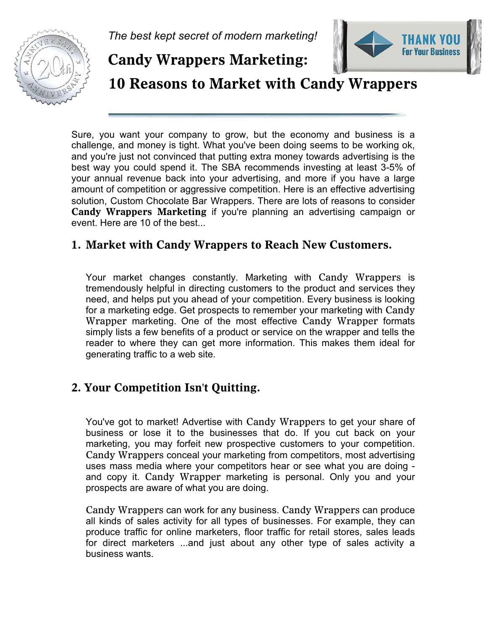

*The best kept secret of modern marketing!* 



**Candy Wrappers Marketing:** 

**10 Reasons to Market with Candy Wrappers** 

Sure, you want your company to grow, but the economy and business is a challenge, and money is tight. What you've been doing seems to be working ok, and you're just not convinced that putting extra money towards advertising is the best way you could spend it. The SBA recommends investing at least 3-5% of your annual revenue back into your advertising, and more if you have a large amount of competition or aggressive competition. Here is an effective advertising solution, Custom Chocolate Bar Wrappers. There are lots of reasons to consider **Candy Wrappers Marketing** if you're planning an advertising campaign or event. Here are 10 of the best...

## **1. Market with Candy Wrappers to Reach New Customers.**

Your market changes constantly. Marketing with Candy Wrappers is tremendously helpful in directing customers to the product and services they need, and helps put you ahead of your competition. Every business is looking for a marketing edge. Get prospects to remember your marketing with Candy Wrapper marketing. One of the most effective Candy Wrapper formats simply lists a few benefits of a product or service on the wrapper and tells the reader to where they can get more information. This makes them ideal for generating traffic to a web site.

# **2. Your Competition Isn't Quitting.**

You've got to market! Advertise with Candy Wrappers to get your share of business or lose it to the businesses that do. If you cut back on your marketing, you may forfeit new prospective customers to your competition. Candy Wrappers conceal your marketing from competitors, most advertising uses mass media where your competitors hear or see what you are doing and copy it. Candy Wrapper marketing is personal. Only you and your prospects are aware of what you are doing.

Candy Wrappers can work for any business. Candy Wrappers can produce all kinds of sales activity for all types of businesses. For example, they can produce traffic for online marketers, floor traffic for retail stores, sales leads for direct marketers ...and just about any other type of sales activity a business wants.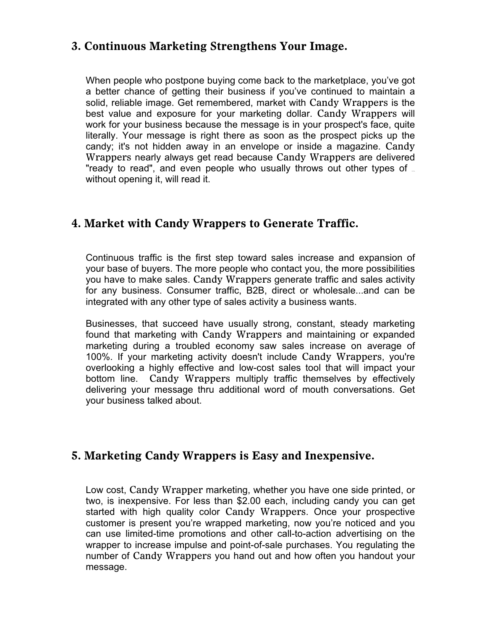#### **3. Continuous Marketing Strengthens Your Image.**

When people who postpone buying come back to the marketplace, you've got a better chance of getting their business if you've continued to maintain a solid, reliable image. Get remembered, market with Candy Wrappers is the best value and exposure for your marketing dollar. Candy Wrappers will work for your business because the message is in your prospect's face, quite literally. Your message is right there as soon as the prospect picks up the candy; it's not hidden away in an envelope or inside a magazine. Candy Wrappers nearly always get read because Candy Wrappers are delivered "ready to read", and even people who usually throws out other types of  $\overline{a}$ without opening it, will read it.

## **4. Market with Candy Wrappers to Generate Traffic.**

Continuous traffic is the first step toward sales increase and expansion of your base of buyers. The more people who contact you, the more possibilities you have to make sales. Candy Wrappers generate traffic and sales activity for any business. Consumer traffic, B2B, direct or wholesale...and can be integrated with any other type of sales activity a business wants.

Businesses, that succeed have usually strong, constant, steady marketing found that marketing with Candy Wrappers and maintaining or expanded marketing during a troubled economy saw sales increase on average of 100%. If your marketing activity doesn't include Candy Wrappers, you're overlooking a highly effective and low-cost sales tool that will impact your bottom line. Candy Wrappers multiply traffic themselves by effectively delivering your message thru additional word of mouth conversations. Get your business talked about.

#### **5. Marketing Candy Wrappers is Easy and Inexpensive.**

Low cost, Candy Wrapper marketing, whether you have one side printed, or two, is inexpensive. For less than \$2.00 each, including candy you can get started with high quality color Candy Wrappers. Once your prospective customer is present you're wrapped marketing, now you're noticed and you can use limited-time promotions and other call-to-action advertising on the wrapper to increase impulse and point-of-sale purchases. You regulating the number of Candy Wrappers you hand out and how often you handout your message.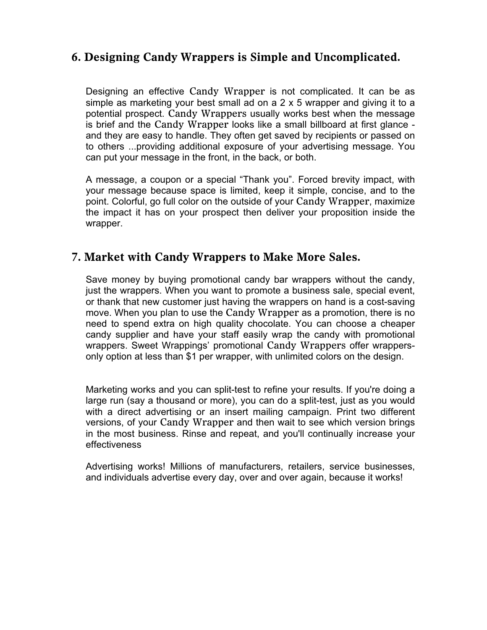## **6. Designing Candy Wrappers is Simple and Uncomplicated.**

Designing an effective Candy Wrapper is not complicated. It can be as simple as marketing your best small ad on a  $2 \times 5$  wrapper and giving it to a potential prospect. Candy Wrappers usually works best when the message is brief and the Candy Wrapper looks like a small billboard at first glance and they are easy to handle. They often get saved by recipients or passed on to others ...providing additional exposure of your advertising message. You can put your message in the front, in the back, or both.

A message, a coupon or a special "Thank you". Forced brevity impact, with your message because space is limited, keep it simple, concise, and to the point. Colorful, go full color on the outside of your Candy Wrapper, maximize the impact it has on your prospect then deliver your proposition inside the wrapper.

#### **7. Market with Candy Wrappers to Make More Sales.**

Save money by buying promotional candy bar wrappers without the candy, just the wrappers. When you want to promote a business sale, special event, or thank that new customer just having the wrappers on hand is a cost-saving move. When you plan to use the Candy Wrapper as a promotion, there is no need to spend extra on high quality chocolate. You can choose a cheaper candy supplier and have your staff easily wrap the candy with promotional wrappers. Sweet Wrappings' promotional Candy Wrappers offer wrappersonly option at less than \$1 per wrapper, with unlimited colors on the design.

Marketing works and you can split-test to refine your results. If you're doing a large run (say a thousand or more), you can do a split-test, just as you would with a direct advertising or an insert mailing campaign. Print two different versions, of your Candy Wrapper and then wait to see which version brings in the most business. Rinse and repeat, and you'll continually increase your effectiveness

Advertising works! Millions of manufacturers, retailers, service businesses, and individuals advertise every day, over and over again, because it works!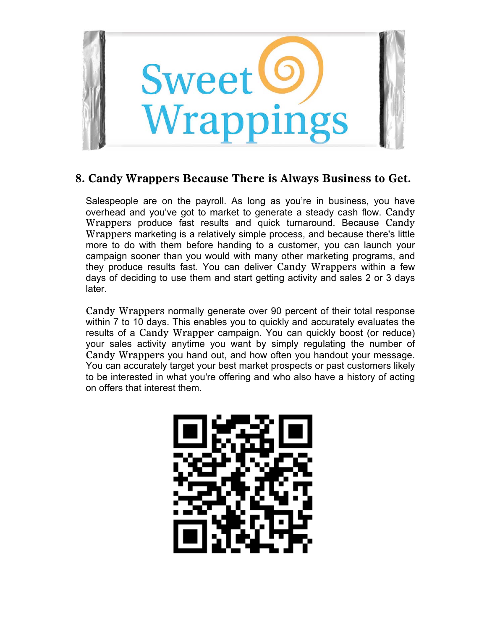

## **8. Candy Wrappers Because There is Always Business to Get.**

Salespeople are on the payroll. As long as you're in business, you have overhead and you've got to market to generate a steady cash flow. Candy Wrappers produce fast results and quick turnaround. Because Candy Wrappers marketing is a relatively simple process, and because there's little more to do with them before handing to a customer, you can launch your campaign sooner than you would with many other marketing programs, and they produce results fast. You can deliver Candy Wrappers within a few days of deciding to use them and start getting activity and sales 2 or 3 days later.

Candy Wrappers normally generate over 90 percent of their total response within 7 to 10 days. This enables you to quickly and accurately evaluates the results of a Candy Wrapper campaign. You can quickly boost (or reduce) your sales activity anytime you want by simply regulating the number of Candy Wrappers you hand out, and how often you handout your message. You can accurately target your best market prospects or past customers likely to be interested in what you're offering and who also have a history of acting on offers that interest them.